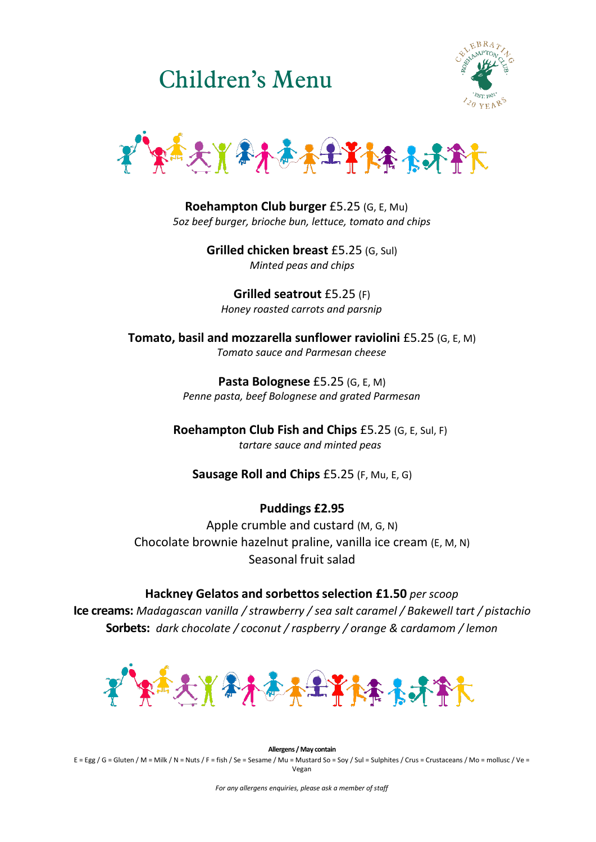Children's Menu





**Roehampton Club burger** £5.25 (G, E, Mu) *5oz beef burger, brioche bun, lettuce, tomato and chips*

> **Grilled chicken breast** £5.25 (G, Sul) *Minted peas and chips*

**Grilled seatrout** £5.25 (F) *Honey roasted carrots and parsnip*

**Tomato, basil and mozzarella sunflower raviolini** £5.25 (G, E, M) *Tomato sauce and Parmesan cheese*

> **Pasta Bolognese** £5.25 (G, E, M) *Penne pasta, beef Bolognese and grated Parmesan*

**Roehampton Club Fish and Chips** £5.25 (G, E, Sul, F) *tartare sauce and minted peas*

**Sausage Roll and Chips** £5.25 (F, Mu, E, G)

## **Puddings £2.95**

Apple crumble and custard (M, G, N) Chocolate brownie hazelnut praline, vanilla ice cream (E, M, N) Seasonal fruit salad

**Hackney Gelatos and sorbettos selection £1.50** *per scoop* **Ice creams:** *Madagascan vanilla / strawberry / sea salt caramel / Bakewell tart / pistachio* **Sorbets:** *dark chocolate / coconut / raspberry / orange & cardamom / lemon*



**Allergens / May contain** E = Egg / G = Gluten / M = Milk / N = Nuts / F = fish / Se = Sesame / Mu = Mustard So = Soy / Sul = Sulphites / Crus = Crustaceans / Mo = mollusc / Ve = Vegan

*For any allergens enquiries, please ask a member of staff*